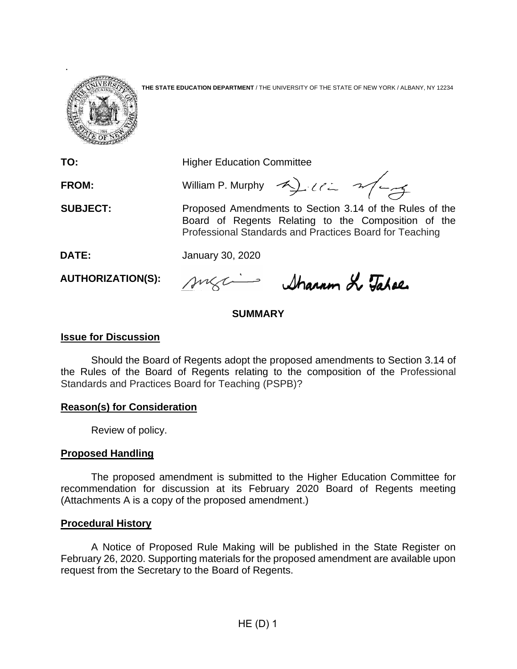

**THE STATE EDUCATION DEPARTMENT** / THE UNIVERSITY OF THE STATE OF NEW YORK / ALBANY, NY 12234

**TO:** Higher Education Committee

FROM: William P. Murphy A) Ulian 2014

**SUBJECT:** Proposed Amendments to Section 3.14 of the Rules of the Board of Regents Relating to the Composition of the Professional Standards and Practices Board for Teaching

**DATE:** January 30, 2020

**AUTHORIZATION(S):**

suga Sharam & Tahee

# **SUMMARY**

# **Issue for Discussion**

Should the Board of Regents adopt the proposed amendments to Section 3.14 of the Rules of the Board of Regents relating to the composition of the Professional Standards and Practices Board for Teaching (PSPB)?

# **Reason(s) for Consideration**

Review of policy.

# **Proposed Handling**

The proposed amendment is submitted to the Higher Education Committee for recommendation for discussion at its February 2020 Board of Regents meeting (Attachments A is a copy of the proposed amendment.)

# **Procedural History**

A Notice of Proposed Rule Making will be published in the State Register on February 26, 2020. Supporting materials for the proposed amendment are available upon request from the Secretary to the Board of Regents.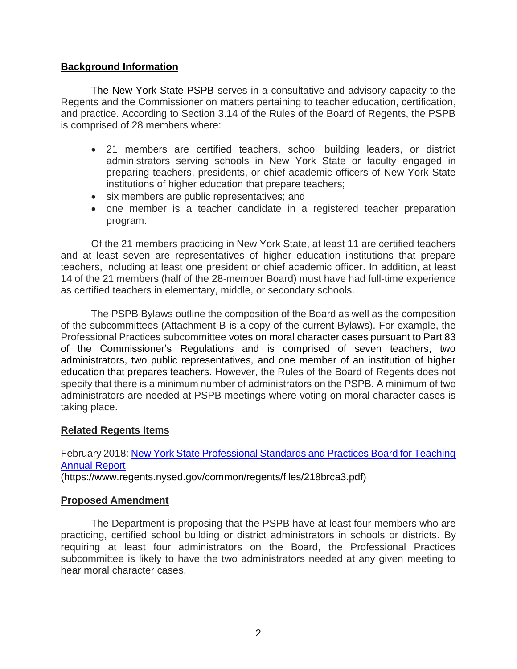# **Background Information**

The New York State PSPB serves in a consultative and advisory capacity to the Regents and the Commissioner on matters pertaining to teacher education, certification, and practice. According to Section 3.14 of the Rules of the Board of Regents, the PSPB is comprised of 28 members where:

- 21 members are certified teachers, school building leaders, or district administrators serving schools in New York State or faculty engaged in preparing teachers, presidents, or chief academic officers of New York State institutions of higher education that prepare teachers;
- six members are public representatives; and
- one member is a teacher candidate in a registered teacher preparation program.

Of the 21 members practicing in New York State, at least 11 are certified teachers and at least seven are representatives of higher education institutions that prepare teachers, including at least one president or chief academic officer. In addition, at least 14 of the 21 members (half of the 28-member Board) must have had full-time experience as certified teachers in elementary, middle, or secondary schools.

The PSPB Bylaws outline the composition of the Board as well as the composition of the subcommittees (Attachment B is a copy of the current Bylaws). For example, the Professional Practices subcommittee votes on moral character cases pursuant to Part 83 of the Commissioner's Regulations and is comprised of seven teachers, two administrators, two public representatives, and one member of an institution of higher education that prepares teachers. However, the Rules of the Board of Regents does not specify that there is a minimum number of administrators on the PSPB. A minimum of two administrators are needed at PSPB meetings where voting on moral character cases is taking place.

#### **Related Regents Items**

# February 2018: [New York State Professional Standards and Practices Board for Teaching](https://www.regents.nysed.gov/common/regents/files/218brca3.pdf)  [Annual Report](https://www.regents.nysed.gov/common/regents/files/218brca3.pdf)

(https://www.regents.nysed.gov/common/regents/files/218brca3.pdf)

#### **Proposed Amendment**

The Department is proposing that the PSPB have at least four members who are practicing, certified school building or district administrators in schools or districts. By requiring at least four administrators on the Board, the Professional Practices subcommittee is likely to have the two administrators needed at any given meeting to hear moral character cases.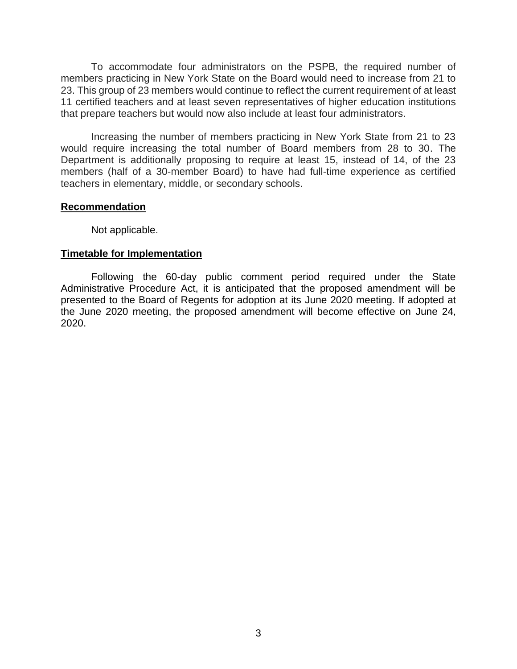To accommodate four administrators on the PSPB, the required number of members practicing in New York State on the Board would need to increase from 21 to 23. This group of 23 members would continue to reflect the current requirement of at least 11 certified teachers and at least seven representatives of higher education institutions that prepare teachers but would now also include at least four administrators.

Increasing the number of members practicing in New York State from 21 to 23 would require increasing the total number of Board members from 28 to 30. The Department is additionally proposing to require at least 15, instead of 14, of the 23 members (half of a 30-member Board) to have had full-time experience as certified teachers in elementary, middle, or secondary schools.

#### **Recommendation**

Not applicable.

#### **Timetable for Implementation**

Following the 60-day public comment period required under the State Administrative Procedure Act, it is anticipated that the proposed amendment will be presented to the Board of Regents for adoption at its June 2020 meeting. If adopted at the June 2020 meeting, the proposed amendment will become effective on June 24, 2020.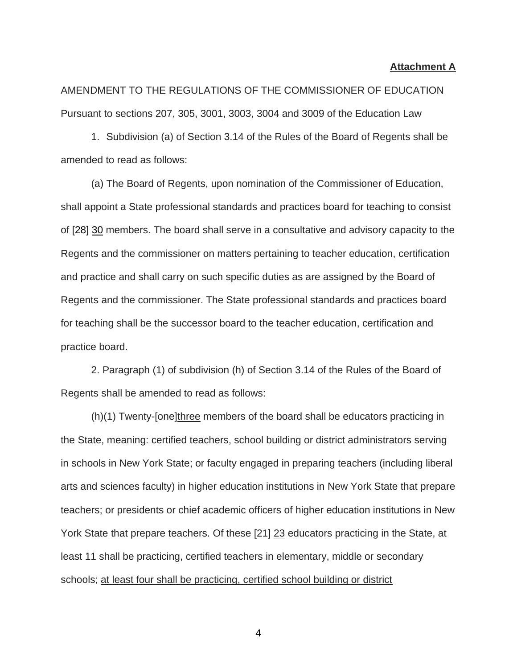#### **Attachment A**

AMENDMENT TO THE REGULATIONS OF THE COMMISSIONER OF EDUCATION Pursuant to sections 207, 305, 3001, 3003, 3004 and 3009 of the Education Law

1. Subdivision (a) of Section 3.14 of the Rules of the Board of Regents shall be amended to read as follows:

(a) The Board of Regents, upon nomination of the Commissioner of Education, shall appoint a State professional standards and practices board for teaching to consist of [28] 30 members. The board shall serve in a consultative and advisory capacity to the Regents and the commissioner on matters pertaining to teacher education, certification and practice and shall carry on such specific duties as are assigned by the Board of Regents and the commissioner. The State professional standards and practices board for teaching shall be the successor board to the teacher education, certification and practice board.

2. Paragraph (1) of subdivision (h) of Section 3.14 of the Rules of the Board of Regents shall be amended to read as follows:

(h)(1) Twenty-[one]three members of the board shall be educators practicing in the State, meaning: certified teachers, school building or district administrators serving in schools in New York State; or faculty engaged in preparing teachers (including liberal arts and sciences faculty) in higher education institutions in New York State that prepare teachers; or presidents or chief academic officers of higher education institutions in New York State that prepare teachers. Of these [21] 23 educators practicing in the State, at least 11 shall be practicing, certified teachers in elementary, middle or secondary schools; at least four shall be practicing, certified school building or district

4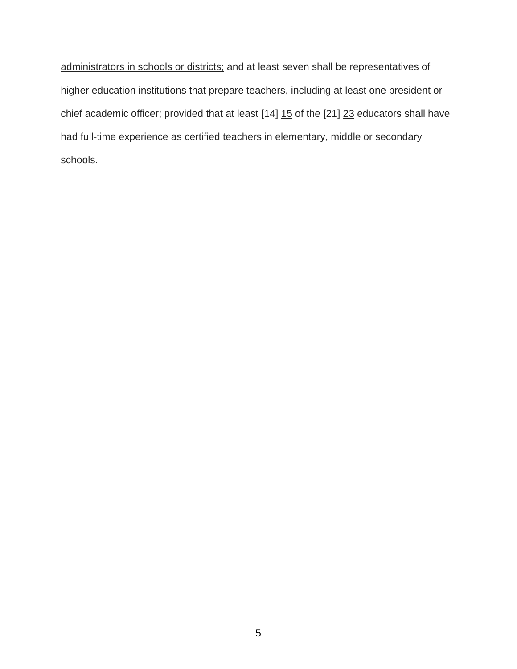administrators in schools or districts; and at least seven shall be representatives of higher education institutions that prepare teachers, including at least one president or chief academic officer; provided that at least  $[14]$   $15$  of the  $[21]$   $23$  educators shall have had full-time experience as certified teachers in elementary, middle or secondary schools.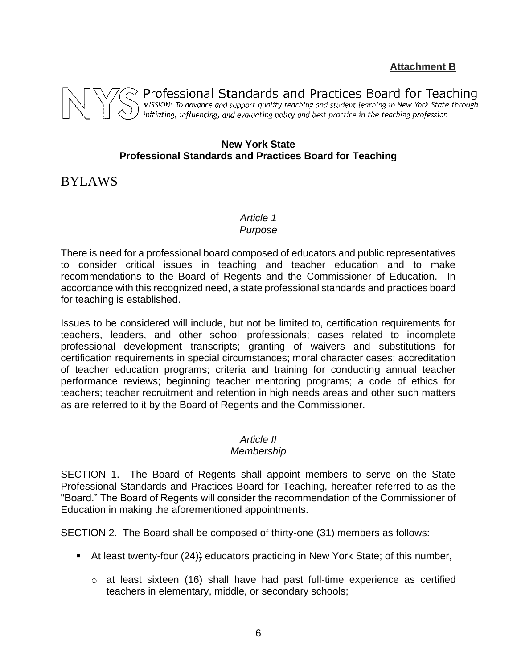**Attachment B**



Professional Standards and Practices Board for Teaching MISSION: To advance and support quality teaching and student learning in New York State through<br>initiating, influencing, and evaluating policy and best practice in the teaching profession

# **New York State Professional Standards and Practices Board for Teaching**

BYLAWS

#### *Article 1 Purpose*

There is need for a professional board composed of educators and public representatives to consider critical issues in teaching and teacher education and to make recommendations to the Board of Regents and the Commissioner of Education. In accordance with this recognized need, a state professional standards and practices board for teaching is established.

Issues to be considered will include, but not be limited to, certification requirements for teachers, leaders, and other school professionals; cases related to incomplete professional development transcripts; granting of waivers and substitutions for certification requirements in special circumstances; moral character cases; accreditation of teacher education programs; criteria and training for conducting annual teacher performance reviews; beginning teacher mentoring programs; a code of ethics for teachers; teacher recruitment and retention in high needs areas and other such matters as are referred to it by the Board of Regents and the Commissioner.

# *Article II*

# *Membership*

SECTION 1. The Board of Regents shall appoint members to serve on the State Professional Standards and Practices Board for Teaching, hereafter referred to as the "Board." The Board of Regents will consider the recommendation of the Commissioner of Education in making the aforementioned appointments.

SECTION 2. The Board shall be composed of thirty-one (31) members as follows:

- At least twenty-four (24)) educators practicing in New York State; of this number,
	- $\circ$  at least sixteen (16) shall have had past full-time experience as certified teachers in elementary, middle, or secondary schools;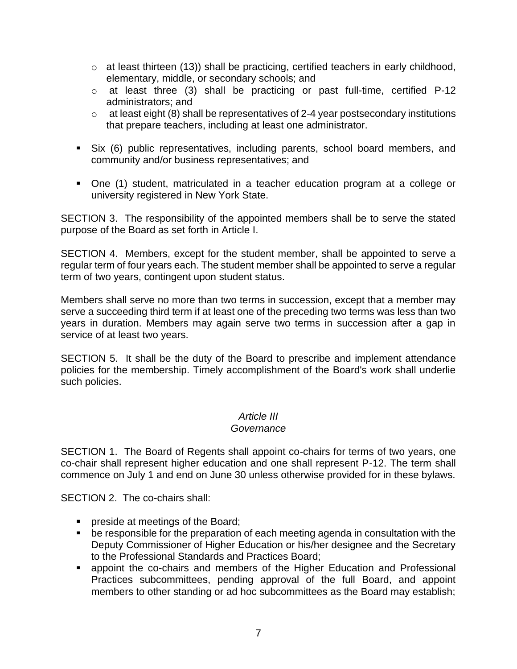- o at least thirteen (13)) shall be practicing, certified teachers in early childhood, elementary, middle, or secondary schools; and
- o at least three (3) shall be practicing or past full-time, certified P-12 administrators; and
- $\circ$  at least eight (8) shall be representatives of 2-4 year postsecondary institutions that prepare teachers, including at least one administrator.
- Six (6) public representatives, including parents, school board members, and community and/or business representatives; and
- One (1) student, matriculated in a teacher education program at a college or university registered in New York State.

SECTION 3. The responsibility of the appointed members shall be to serve the stated purpose of the Board as set forth in Article I.

SECTION 4. Members, except for the student member, shall be appointed to serve a regular term of four years each. The student member shall be appointed to serve a regular term of two years, contingent upon student status.

Members shall serve no more than two terms in succession, except that a member may serve a succeeding third term if at least one of the preceding two terms was less than two years in duration. Members may again serve two terms in succession after a gap in service of at least two years.

SECTION 5. It shall be the duty of the Board to prescribe and implement attendance policies for the membership. Timely accomplishment of the Board's work shall underlie such policies.

# *Article III*

# *Governance*

SECTION 1. The Board of Regents shall appoint co-chairs for terms of two years, one co-chair shall represent higher education and one shall represent P-12. The term shall commence on July 1 and end on June 30 unless otherwise provided for in these bylaws.

SECTION 2. The co-chairs shall:

- **•** preside at meetings of the Board;
- be responsible for the preparation of each meeting agenda in consultation with the Deputy Commissioner of Higher Education or his/her designee and the Secretary to the Professional Standards and Practices Board;
- appoint the co-chairs and members of the Higher Education and Professional Practices subcommittees, pending approval of the full Board, and appoint members to other standing or ad hoc subcommittees as the Board may establish;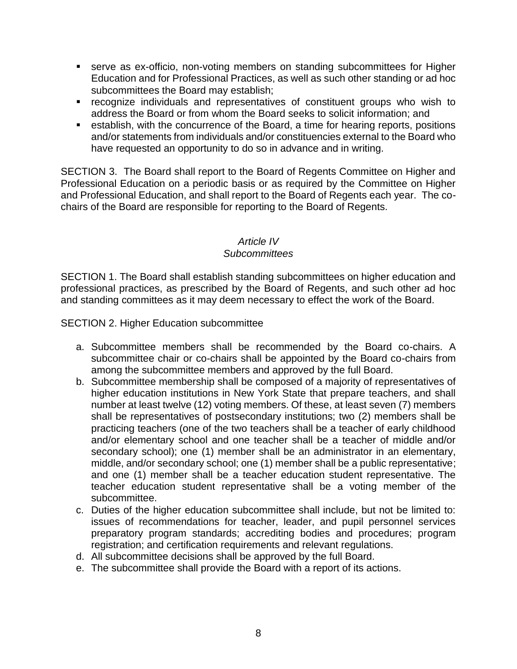- serve as ex-officio, non-voting members on standing subcommittees for Higher Education and for Professional Practices, as well as such other standing or ad hoc subcommittees the Board may establish;
- recognize individuals and representatives of constituent groups who wish to address the Board or from whom the Board seeks to solicit information; and
- establish, with the concurrence of the Board, a time for hearing reports, positions and/or statements from individuals and/or constituencies external to the Board who have requested an opportunity to do so in advance and in writing.

SECTION 3. The Board shall report to the Board of Regents Committee on Higher and Professional Education on a periodic basis or as required by the Committee on Higher and Professional Education, and shall report to the Board of Regents each year. The cochairs of the Board are responsible for reporting to the Board of Regents.

# *Article IV*

# *Subcommittees*

SECTION 1. The Board shall establish standing subcommittees on higher education and professional practices, as prescribed by the Board of Regents, and such other ad hoc and standing committees as it may deem necessary to effect the work of the Board.

SECTION 2. Higher Education subcommittee

- a. Subcommittee members shall be recommended by the Board co-chairs. A subcommittee chair or co-chairs shall be appointed by the Board co-chairs from among the subcommittee members and approved by the full Board.
- b. Subcommittee membership shall be composed of a majority of representatives of higher education institutions in New York State that prepare teachers, and shall number at least twelve (12) voting members. Of these, at least seven (7) members shall be representatives of postsecondary institutions; two (2) members shall be practicing teachers (one of the two teachers shall be a teacher of early childhood and/or elementary school and one teacher shall be a teacher of middle and/or secondary school); one (1) member shall be an administrator in an elementary, middle, and/or secondary school; one (1) member shall be a public representative; and one (1) member shall be a teacher education student representative. The teacher education student representative shall be a voting member of the subcommittee.
- c. Duties of the higher education subcommittee shall include, but not be limited to: issues of recommendations for teacher, leader, and pupil personnel services preparatory program standards; accrediting bodies and procedures; program registration; and certification requirements and relevant regulations.
- d. All subcommittee decisions shall be approved by the full Board.
- e. The subcommittee shall provide the Board with a report of its actions.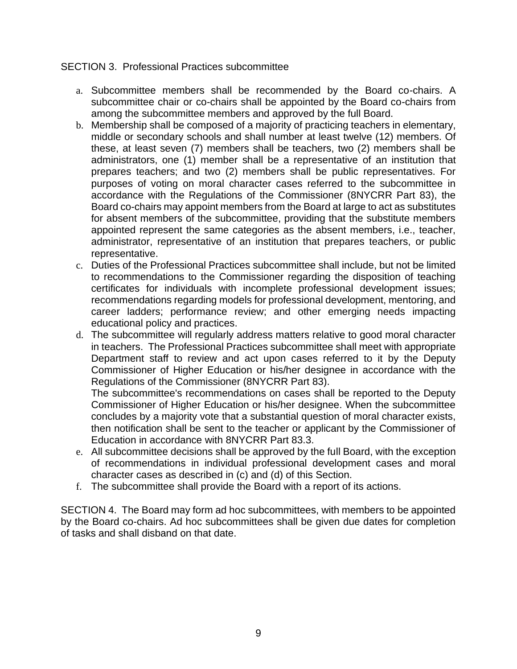### SECTION 3. Professional Practices subcommittee

- a. Subcommittee members shall be recommended by the Board co-chairs. A subcommittee chair or co-chairs shall be appointed by the Board co-chairs from among the subcommittee members and approved by the full Board.
- b. Membership shall be composed of a majority of practicing teachers in elementary, middle or secondary schools and shall number at least twelve (12) members. Of these, at least seven (7) members shall be teachers, two (2) members shall be administrators, one (1) member shall be a representative of an institution that prepares teachers; and two (2) members shall be public representatives. For purposes of voting on moral character cases referred to the subcommittee in accordance with the Regulations of the Commissioner (8NYCRR Part 83), the Board co-chairs may appoint members from the Board at large to act as substitutes for absent members of the subcommittee, providing that the substitute members appointed represent the same categories as the absent members, i.e., teacher, administrator, representative of an institution that prepares teachers, or public representative.
- c. Duties of the Professional Practices subcommittee shall include, but not be limited to recommendations to the Commissioner regarding the disposition of teaching certificates for individuals with incomplete professional development issues; recommendations regarding models for professional development, mentoring, and career ladders; performance review; and other emerging needs impacting educational policy and practices.
- d. The subcommittee will regularly address matters relative to good moral character in teachers. The Professional Practices subcommittee shall meet with appropriate Department staff to review and act upon cases referred to it by the Deputy Commissioner of Higher Education or his/her designee in accordance with the Regulations of the Commissioner (8NYCRR Part 83).

The subcommittee's recommendations on cases shall be reported to the Deputy Commissioner of Higher Education or his/her designee. When the subcommittee concludes by a majority vote that a substantial question of moral character exists, then notification shall be sent to the teacher or applicant by the Commissioner of Education in accordance with 8NYCRR Part 83.3.

- e. All subcommittee decisions shall be approved by the full Board, with the exception of recommendations in individual professional development cases and moral character cases as described in (c) and (d) of this Section.
- f. The subcommittee shall provide the Board with a report of its actions.

SECTION 4. The Board may form ad hoc subcommittees, with members to be appointed by the Board co-chairs. Ad hoc subcommittees shall be given due dates for completion of tasks and shall disband on that date.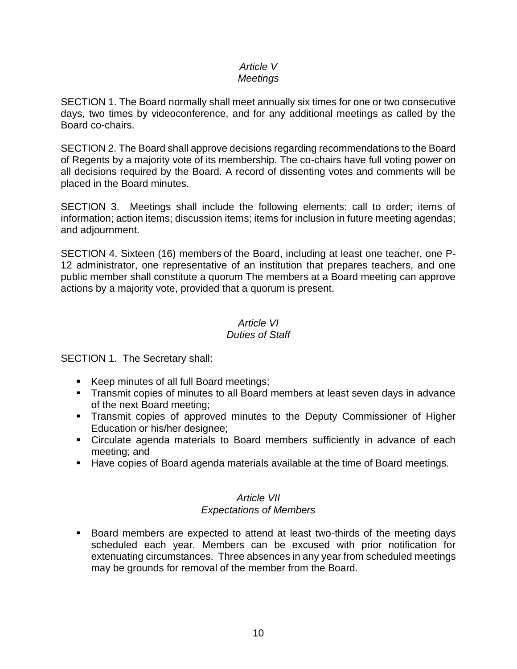#### *Article V Meetings*

SECTION 1. The Board normally shall meet annually six times for one or two consecutive days, two times by videoconference, and for any additional meetings as called by the Board co-chairs.

SECTION 2. The Board shall approve decisions regarding recommendations to the Board of Regents by a majority vote of its membership. The co-chairs have full voting power on all decisions required by the Board. A record of dissenting votes and comments will be placed in the Board minutes.

SECTION 3. Meetings shall include the following elements: call to order; items of information; action items; discussion items; items for inclusion in future meeting agendas; and adjournment.

SECTION 4. Sixteen (16) members of the Board, including at least one teacher, one P-12 administrator, one representative of an institution that prepares teachers, and one public member shall constitute a quorum The members at a Board meeting can approve actions by a majority vote, provided that a quorum is present.

# *Article VI Duties of Staff*

SECTION 1. The Secretary shall:

- Keep minutes of all full Board meetings;
- **Transmit copies of minutes to all Board members at least seven days in advance** of the next Board meeting;
- **•** Transmit copies of approved minutes to the Deputy Commissioner of Higher Education or his/her designee;
- **EXEDEE ADDE EXEDEE IS CONTER 15 Incredence Controller** Circulate agency materials to Board each meeting; and
- Have copies of Board agenda materials available at the time of Board meetings.

# *Article VII Expectations of Members*

Board members are expected to attend at least two-thirds of the meeting days scheduled each year. Members can be excused with prior notification for extenuating circumstances. Three absences in any year from scheduled meetings may be grounds for removal of the member from the Board.